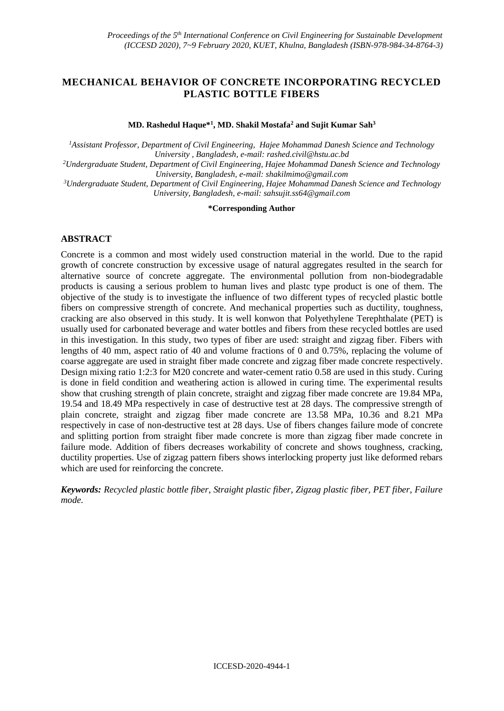# **MECHANICAL BEHAVIOR OF CONCRETE INCORPORATING RECYCLED PLASTIC BOTTLE FIBERS**

**MD. Rashedul Haque\*<sup>1</sup> , MD. Shakil Mostafa<sup>2</sup> and Sujit Kumar Sah<sup>3</sup>**

*<sup>1</sup>Assistant Professor, Department of Civil Engineering, Hajee Mohammad Danesh Science and Technology University , Bangladesh, e-mail: rashed.civil@hstu.ac.bd*

*<sup>2</sup>Undergraduate Student, Department of Civil Engineering, Hajee Mohammad Danesh Science and Technology University, Bangladesh, e-mail: [shakilmimo@gmail.com](mailto:shakilmimo@gmail.com)*

*<sup>3</sup>Undergraduate Student, Department of Civil Engineering, Hajee Mohammad Danesh Science and Technology University, Bangladesh, e-mail[: sahsujit.ss64@gmail.com](mailto:sahsujit.ss64@gmail.com)*

**\*Corresponding Author**

## **ABSTRACT**

Concrete is a common and most widely used construction material in the world. Due to the rapid growth of concrete construction by excessive usage of natural aggregates resulted in the search for alternative source of concrete aggregate. The environmental pollution from non-biodegradable products is causing a serious problem to human lives and plastc type product is one of them. The objective of the study is to investigate the influence of two different types of recycled plastic bottle fibers on compressive strength of concrete. And mechanical properties such as ductility, toughness, cracking are also observed in this study. It is well konwon that Polyethylene Terephthalate (PET) is usually used for carbonated beverage and water bottles and fibers from these recycled bottles are used in this investigation. In this study, two types of fiber are used: straight and zigzag fiber. Fibers with lengths of 40 mm, aspect ratio of 40 and volume fractions of 0 and 0.75%, replacing the volume of coarse aggregate are used in straight fiber made concrete and zigzag fiber made concrete respectively. Design mixing ratio 1:2:3 for M20 concrete and water-cement ratio 0.58 are used in this study. Curing is done in field condition and weathering action is allowed in curing time. The experimental results show that crushing strength of plain concrete, straight and zigzag fiber made concrete are 19.84 MPa, 19.54 and 18.49 MPa respectively in case of destructive test at 28 days. The compressive strength of plain concrete, straight and zigzag fiber made concrete are 13.58 MPa, 10.36 and 8.21 MPa respectively in case of non-destructive test at 28 days. Use of fibers changes failure mode of concrete and splitting portion from straight fiber made concrete is more than zigzag fiber made concrete in failure mode. Addition of fibers decreases workability of concrete and shows toughness, cracking, ductility properties. Use of zigzag pattern fibers shows interlocking property just like deformed rebars which are used for reinforcing the concrete.

*Keywords: Recycled plastic bottle fiber, Straight plastic fiber, Zigzag plastic fiber, PET fiber, Failure mode.*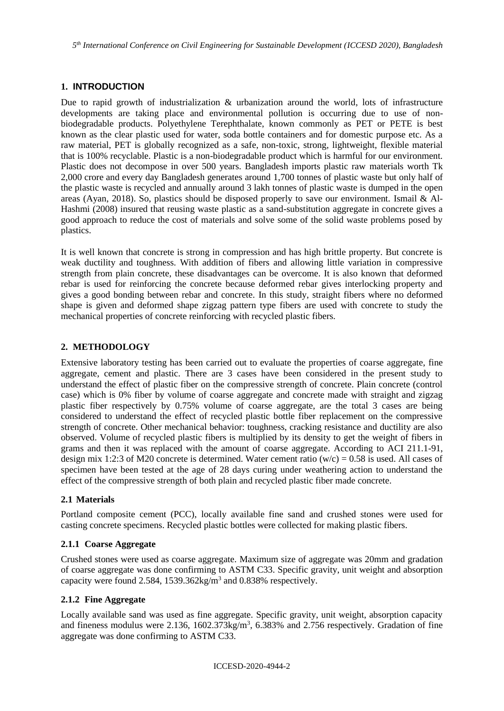*5 th International Conference on Civil Engineering for Sustainable Development (ICCESD 2020), Bangladesh*

# **1. INTRODUCTION**

Due to rapid growth of industrialization & urbanization around the world, lots of infrastructure developments are taking place and environmental pollution is occurring due to use of nonbiodegradable products. Polyethylene Terephthalate, known commonly as PET or PETE is best known as the clear plastic used for water, soda bottle containers and for domestic purpose etc. As a raw material, PET is globally recognized as a safe, non-toxic, strong, lightweight, flexible material that is 100% recyclable. Plastic is a non-biodegradable product which is harmful for our environment. Plastic does not decompose in over 500 years. Bangladesh imports plastic raw materials worth Tk 2,000 crore and every day Bangladesh generates around 1,700 tonnes of plastic waste but only half of the plastic waste is recycled and annually around 3 lakh tonnes of plastic waste is dumped in the open areas (Ayan, 2018). So, plastics should be disposed properly to save our environment. Ismail & Al-Hashmi (2008) insured that reusing waste plastic as a sand-substitution aggregate in concrete gives a good approach to reduce the cost of materials and solve some of the solid waste problems posed by plastics.

It is well known that concrete is strong in compression and has high brittle property. But concrete is weak ductility and toughness. With addition of fibers and allowing little variation in compressive strength from plain concrete, these disadvantages can be overcome. It is also known that deformed rebar is used for reinforcing the concrete because deformed rebar gives interlocking property and gives a good bonding between rebar and concrete. In this study, straight fibers where no deformed shape is given and deformed shape zigzag pattern type fibers are used with concrete to study the mechanical properties of concrete reinforcing with recycled plastic fibers.

# **2. METHODOLOGY**

Extensive laboratory testing has been carried out to evaluate the properties of coarse aggregate, fine aggregate, cement and plastic. There are 3 cases have been considered in the present study to understand the effect of plastic fiber on the compressive strength of concrete. Plain concrete (control case) which is 0% fiber by volume of coarse aggregate and concrete made with straight and zigzag plastic fiber respectively by 0.75% volume of coarse aggregate, are the total 3 cases are being considered to understand the effect of recycled plastic bottle fiber replacement on the compressive strength of concrete. Other mechanical behavior: toughness, cracking resistance and ductility are also observed. Volume of recycled plastic fibers is multiplied by its density to get the weight of fibers in grams and then it was replaced with the amount of coarse aggregate. According to ACI 211.1-91, design mix 1:2:3 of M20 concrete is determined. Water cement ratio  $(w/c) = 0.58$  is used. All cases of specimen have been tested at the age of 28 days curing under weathering action to understand the effect of the compressive strength of both plain and recycled plastic fiber made concrete.

# **2.1 Materials**

Portland composite cement (PCC), locally available fine sand and crushed stones were used for casting concrete specimens. Recycled plastic bottles were collected for making plastic fibers.

## **2.1.1 Coarse Aggregate**

Crushed stones were used as coarse aggregate. Maximum size of aggregate was 20mm and gradation of coarse aggregate was done confirming to ASTM C33. Specific gravity, unit weight and absorption capacity were found 2.584,  $1539.362$ kg/m<sup>3</sup> and 0.838% respectively.

## **2.1.2 Fine Aggregate**

Locally available sand was used as fine aggregate. Specific gravity, unit weight, absorption capacity and fineness modulus were 2.136, 1602.373kg/m<sup>3</sup>, 6.383% and 2.756 respectively. Gradation of fine aggregate was done confirming to ASTM C33.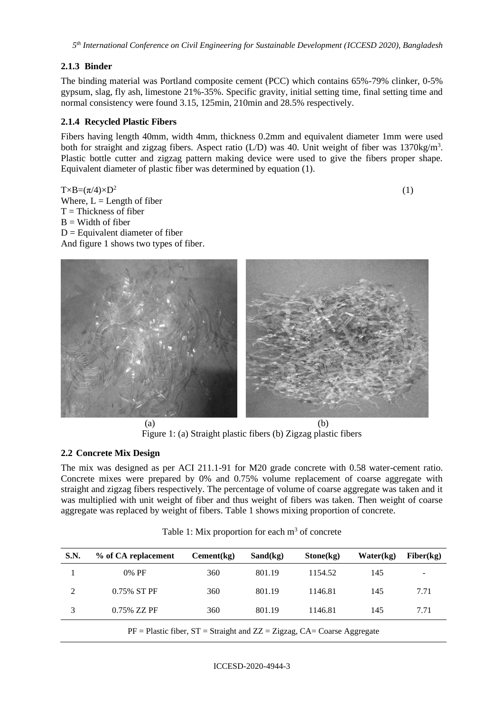*5 th International Conference on Civil Engineering for Sustainable Development (ICCESD 2020), Bangladesh*

# **2.1.3 Binder**

The binding material was Portland composite cement (PCC) which contains 65%-79% clinker, 0-5% gypsum, slag, fly ash, limestone 21%-35%. Specific gravity, initial setting time, final setting time and normal consistency were found 3.15, 125min, 210min and 28.5% respectively.

# **2.1.4 Recycled Plastic Fibers**

Fibers having length 40mm, width 4mm, thickness 0.2mm and equivalent diameter 1mm were used both for straight and zigzag fibers. Aspect ratio (L/D) was 40. Unit weight of fiber was 1370kg/m<sup>3</sup>. Plastic bottle cutter and zigzag pattern making device were used to give the fibers proper shape. Equivalent diameter of plastic fiber was determined by equation (1).

 $T \times B = (\pi/4) \times D^2$  (1) Where,  $L =$  Length of fiber  $T = Thickness of fiber$  $B = Width of fiber$  $D =$  Equivalent diameter of fiber And figure 1 shows two types of fiber.



 $(a)$  (b) Figure 1: (a) Straight plastic fibers (b) Zigzag plastic fibers

# **2.2 Concrete Mix Design**

The mix was designed as per ACI 211.1-91 for M20 grade concrete with 0.58 water-cement ratio. Concrete mixes were prepared by 0% and 0.75% volume replacement of coarse aggregate with straight and zigzag fibers respectively. The percentage of volume of coarse aggregate was taken and it was multiplied with unit weight of fiber and thus weight of fibers was taken. Then weight of coarse aggregate was replaced by weight of fibers. Table 1 shows mixing proportion of concrete.

| S.N.                                                                          | % of CA replacement | Cement(kg) | Sand(kg) | Stone(kg) | Water(kg) | Fiber(kg) |
|-------------------------------------------------------------------------------|---------------------|------------|----------|-----------|-----------|-----------|
|                                                                               | 0% PF               | 360        | 801.19   | 1154.52   | 145       |           |
| 2                                                                             | $0.75\%$ ST PF      | 360        | 801.19   | 1146.81   | 145       | 7.71      |
| 3                                                                             | $0.75\%$ ZZ PF      | 360        | 801.19   | 1146.81   | 145       | 7.71      |
| $PF =$ Plastic fiber, $ST =$ Straight and $ZZ =$ Zigzag, CA= Coarse Aggregate |                     |            |          |           |           |           |

Table 1: Mix proportion for each  $m<sup>3</sup>$  of concrete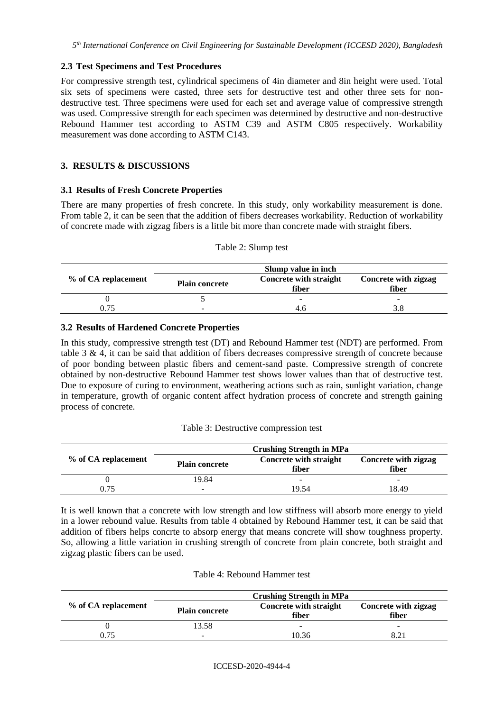## **2.3 Test Specimens and Test Procedures**

For compressive strength test, cylindrical specimens of 4in diameter and 8in height were used. Total six sets of specimens were casted, three sets for destructive test and other three sets for nondestructive test. Three specimens were used for each set and average value of compressive strength was used. Compressive strength for each specimen was determined by destructive and non-destructive Rebound Hammer test according to ASTM C39 and ASTM C805 respectively. Workability measurement was done according to ASTM C143.

## **3. RESULTS & DISCUSSIONS**

## **3.1 Results of Fresh Concrete Properties**

There are many properties of fresh concrete. In this study, only workability measurement is done. From table 2, it can be seen that the addition of fibers decreases workability. Reduction of workability of concrete made with zigzag fibers is a little bit more than concrete made with straight fibers.

|                     | Slump value in inch   |                                 |  |  |
|---------------------|-----------------------|---------------------------------|--|--|
| % of CA replacement | <b>Plain concrete</b> | Concrete with straight<br>fiber |  |  |
|                     |                       |                                 |  |  |
|                     |                       |                                 |  |  |

#### Table 2: Slump test

## **3.2 Results of Hardened Concrete Properties**

In this study, compressive strength test (DT) and Rebound Hammer test (NDT) are performed. From table 3 & 4, it can be said that addition of fibers decreases compressive strength of concrete because of poor bonding between plastic fibers and cement-sand paste. Compressive strength of concrete obtained by non-destructive Rebound Hammer test shows lower values than that of destructive test. Due to exposure of curing to environment, weathering actions such as rain, sunlight variation, change in temperature, growth of organic content affect hydration process of concrete and strength gaining process of concrete.

## Table 3: Destructive compression test

|                     | <b>Crushing Strength in MPa</b> |                                 |                               |  |
|---------------------|---------------------------------|---------------------------------|-------------------------------|--|
| % of CA replacement | <b>Plain concrete</b>           | Concrete with straight<br>fiber | Concrete with zigzag<br>fiber |  |
|                     | 19.84                           | -                               | $\overline{\phantom{a}}$      |  |
| በ 75                | -                               | 19.54                           | 18.49                         |  |

It is well known that a concrete with low strength and low stiffness will absorb more energy to yield in a lower rebound value. Results from table 4 obtained by Rebound Hammer test, it can be said that addition of fibers helps concrte to absorp energy that means concrete will show toughness property. So, allowing a little variation in crushing strength of concrete from plain concrete, both straight and zigzag plastic fibers can be used.

#### Table 4: Rebound Hammer test

|                     | <b>Crushing Strength in MPa</b> |                                        |                               |  |
|---------------------|---------------------------------|----------------------------------------|-------------------------------|--|
| % of CA replacement | <b>Plain concrete</b>           | <b>Concrete with straight</b><br>fiber | Concrete with zigzag<br>fiber |  |
|                     | 13.58                           | $\overline{\phantom{a}}$               | -                             |  |
| በ 75                | $\overline{\phantom{0}}$        | 10.36                                  | 8.21                          |  |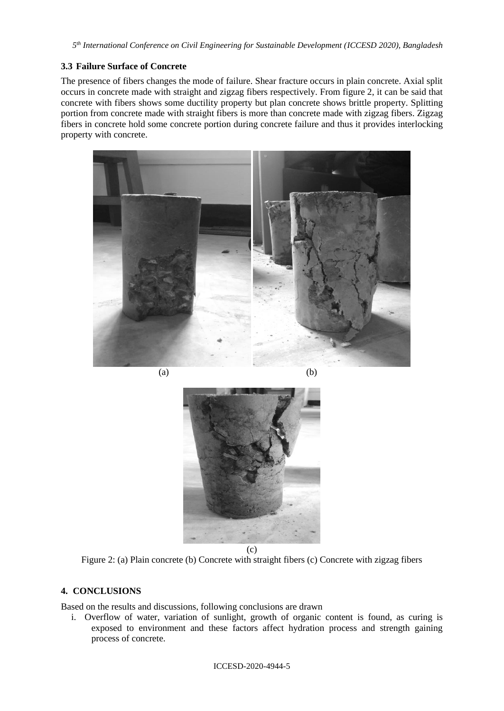*5 th International Conference on Civil Engineering for Sustainable Development (ICCESD 2020), Bangladesh*

# **3.3 Failure Surface of Concrete**

The presence of fibers changes the mode of failure. Shear fracture occurs in plain concrete. Axial split occurs in concrete made with straight and zigzag fibers respectively. From figure 2, it can be said that concrete with fibers shows some ductility property but plan concrete shows brittle property. Splitting portion from concrete made with straight fibers is more than concrete made with zigzag fibers. Zigzag fibers in concrete hold some concrete portion during concrete failure and thus it provides interlocking property with concrete.



 $(a)$  (b)



(c)

Figure 2: (a) Plain concrete (b) Concrete with straight fibers (c) Concrete with zigzag fibers

# **4. CONCLUSIONS**

Based on the results and discussions, following conclusions are drawn

i. Overflow of water, variation of sunlight, growth of organic content is found, as curing is exposed to environment and these factors affect hydration process and strength gaining process of concrete.